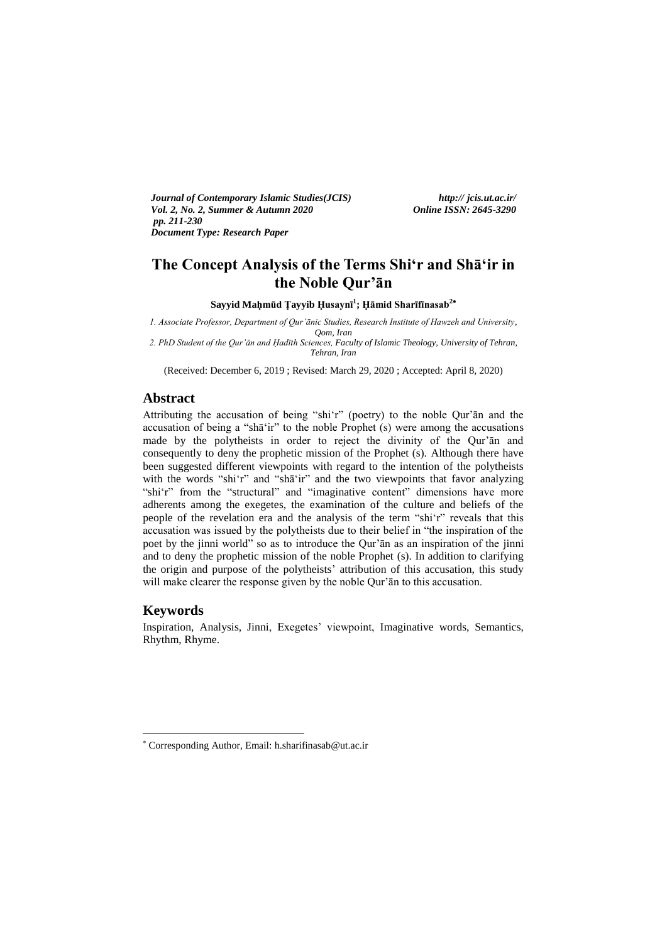*Journal of Contemporary Islamic Studies(JCIS) http:// jcis.ut.ac.ir/ Vol. 2, No. 2, Summer & Autumn 2020 Online ISSN: 2645-3290 pp. 211-230 Document Type: Research Paper* 

# **The Concept Analysis of the Terms Shi'r and Shā'ir in the Noble Qur'ān**

**Sayyid Maḥmūd Ṭayyib Ḥusaynī<sup>1</sup> ; Ḥāmid Sharīfīnasab<sup>2</sup>**

*1. Associate Professor, Department of Qur'ānic Studies, Research Institute of Hawzeh and University, Qom, Iran*

*2. PhD Student of the Qur'ān and Ḥadīth Sciences, Faculty of Islamic Theology, University of Tehran, Tehran, Iran*

(Received: December 6, 2019 ; Revised: March 29, 2020 ; Accepted: April 8, 2020)

### **Abstract**

Attributing the accusation of being "shi'r" (poetry) to the noble Qur'ān and the accusation of being a "shā'ir" to the noble Prophet (s) were among the accusations made by the polytheists in order to reject the divinity of the Qur'ān and consequently to deny the prophetic mission of the Prophet (s). Although there have been suggested different viewpoints with regard to the intention of the polytheists with the words "shi'r" and "shā'ir" and the two viewpoints that favor analyzing "shi'r" from the "structural" and "imaginative content" dimensions have more adherents among the exegetes, the examination of the culture and beliefs of the people of the revelation era and the analysis of the term "shi'r" reveals that this accusation was issued by the polytheists due to their belief in "the inspiration of the poet by the jinni world" so as to introduce the Qur'ān as an inspiration of the jinni and to deny the prophetic mission of the noble Prophet (s). In addition to clarifying the origin and purpose of the polytheists' attribution of this accusation, this study will make clearer the response given by the noble Qur'ān to this accusation.

### **Keywords**

-

Inspiration, Analysis, Jinni, Exegetes' viewpoint, Imaginative words, Semantics, Rhythm, Rhyme.

Corresponding Author, Email: h.sharifinasab@ut.ac.ir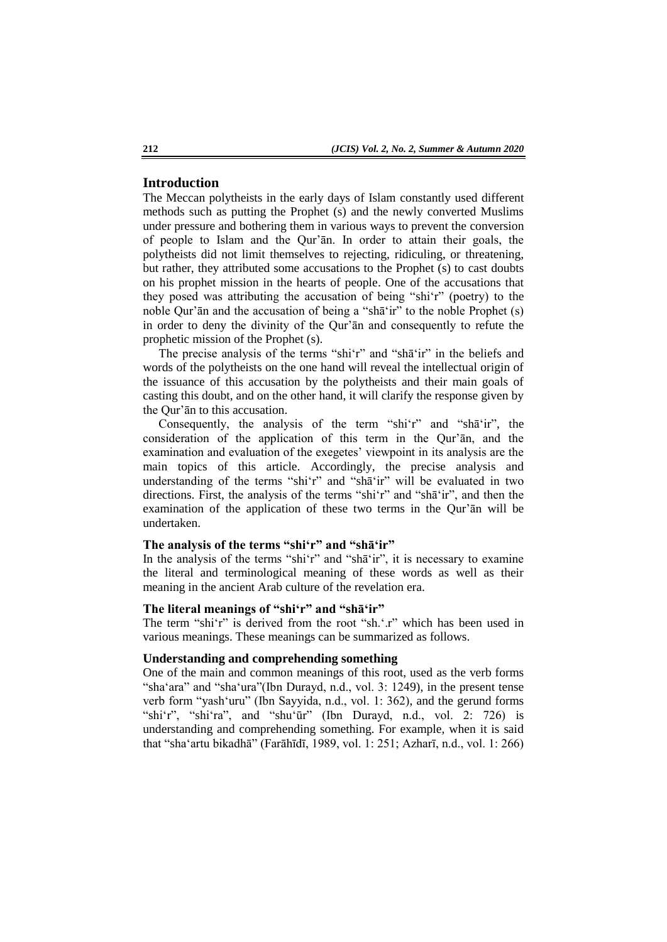# **Introduction**

The Meccan polytheists in the early days of Islam constantly used different methods such as putting the Prophet (s) and the newly converted Muslims under pressure and bothering them in various ways to prevent the conversion of people to Islam and the Qur'ān. In order to attain their goals, the polytheists did not limit themselves to rejecting, ridiculing, or threatening, but rather, they attributed some accusations to the Prophet (s) to cast doubts on his prophet mission in the hearts of people. One of the accusations that they posed was attributing the accusation of being "shi'r" (poetry) to the noble Qur'ān and the accusation of being a "shā'ir" to the noble Prophet (s) in order to deny the divinity of the Qur'ān and consequently to refute the prophetic mission of the Prophet (s).

The precise analysis of the terms "shi'r" and "shā'ir" in the beliefs and words of the polytheists on the one hand will reveal the intellectual origin of the issuance of this accusation by the polytheists and their main goals of casting this doubt, and on the other hand, it will clarify the response given by the Qur'ān to this accusation.

Consequently, the analysis of the term "shi'r" and "shā'ir", the consideration of the application of this term in the Qur'ān, and the examination and evaluation of the exegetes' viewpoint in its analysis are the main topics of this article. Accordingly, the precise analysis and understanding of the terms "shi'r" and "shā'ir" will be evaluated in two directions. First, the analysis of the terms "shi'r" and "shā'ir", and then the examination of the application of these two terms in the Qur'ān will be undertaken.

### **The analysis of the terms "shi'r" and "shā'ir"**

In the analysis of the terms "shi'r" and "shā'ir", it is necessary to examine the literal and terminological meaning of these words as well as their meaning in the ancient Arab culture of the revelation era.

# **The literal meanings of "shi'r" and "shā'ir"**

The term "shi'r" is derived from the root "sh.'.r" which has been used in various meanings. These meanings can be summarized as follows.

#### **Understanding and comprehending something**

One of the main and common meanings of this root, used as the verb forms "sha'ara" and "sha'ura"(Ibn Durayd, n.d., vol. 3: 1249), in the present tense verb form "yash'uru" (Ibn Sayyida, n.d., vol. 1: 362), and the gerund forms "shi'r", "shi'ra", and "shu'ūr" (Ibn Durayd, n.d., vol. 2: 726) is understanding and comprehending something. For example, when it is said that "sha'artu bikadhā" (Farāhīdī, 1989, vol. 1: 251; Azharī, n.d., vol. 1: 266)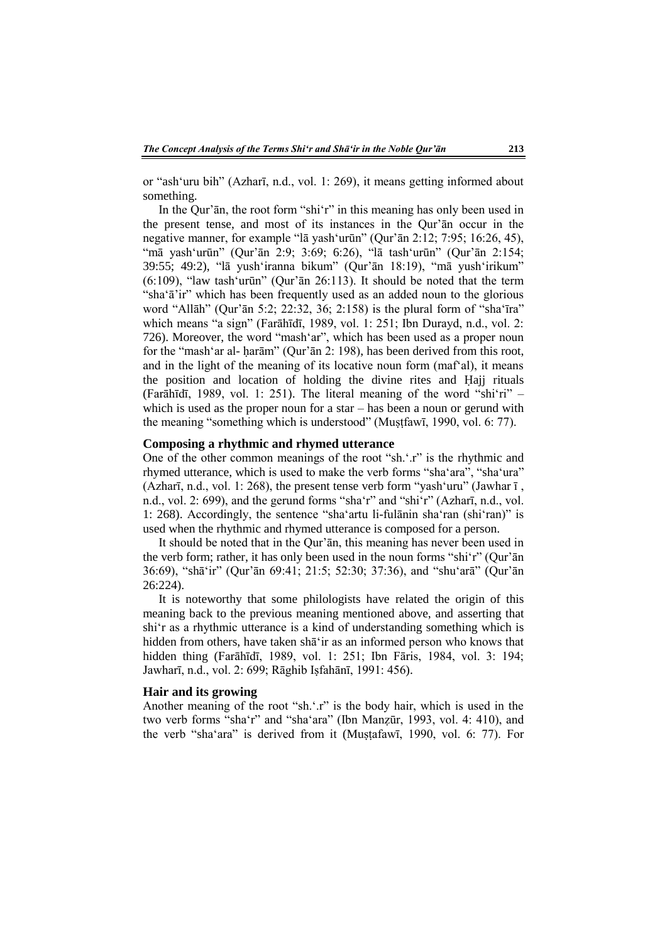or "ash'uru bih" (Azharī, n.d., vol. 1: 269), it means getting informed about something.

In the Qur'ān, the root form "shi'r" in this meaning has only been used in the present tense, and most of its instances in the Qur'ān occur in the negative manner, for example "lā yash'urūn" (Qur'ān 2:12; 7:95; 16:26, 45), "mā yash'urūn" (Qur'ān 2:9; 3:69; 6:26), "lā tash'urūn" (Qur'ān 2:154; 39:55; 49:2), "lā yush'iranna bikum" (Qur'ān 18:19), "mā yush'irikum" (6:109), "law tash'urūn" (Qur'ān 26:113). It should be noted that the term "sha'ā'ir" which has been frequently used as an added noun to the glorious word "Allāh" (Qur'ān 5:2; 22:32, 36; 2:158) is the plural form of "sha'īra" which means "a sign" (Farāhīdī, 1989, vol. 1: 251; Ibn Durayd, n.d., vol. 2: 726). Moreover, the word "mash'ar", which has been used as a proper noun for the "mash'ar al- ḥarām" (Qur'ān 2: 198), has been derived from this root, and in the light of the meaning of its locative noun form (maf'al), it means the position and location of holding the divine rites and Ḥajj rituals (Farāhīdī, 1989, vol. 1: 251). The literal meaning of the word "shi'ri" – which is used as the proper noun for a star – has been a noun or gerund with the meaning "something which is understood" (Muṣṭfawī, 1990, vol. 6: 77).

#### **Composing a rhythmic and rhymed utterance**

One of the other common meanings of the root "sh.'.r" is the rhythmic and rhymed utterance, which is used to make the verb forms "sha'ara", "sha'ura" (Azharī, n.d., vol. 1: 268), the present tense verb form "yash 'uru" (Jawhar  $\overline{1}$ , n.d., vol. 2: 699), and the gerund forms "sha'r" and "shi'r" (Azharī, n.d., vol. 1: 268). Accordingly, the sentence "sha'artu li-fulānin sha'ran (shi'ran)" is used when the rhythmic and rhymed utterance is composed for a person.

It should be noted that in the Qur'ān, this meaning has never been used in the verb form; rather, it has only been used in the noun forms "shi'r" (Qur'ān 36:69), "shā'ir" (Qur'ān 69:41; 21:5; 52:30; 37:36), and "shu'arā" (Qur'ān 26:224).

It is noteworthy that some philologists have related the origin of this meaning back to the previous meaning mentioned above, and asserting that shi'r as a rhythmic utterance is a kind of understanding something which is hidden from others, have taken shā'ir as an informed person who knows that hidden thing (Farāhīdī, 1989, vol. 1: 251; Ibn Fāris, 1984, vol. 3: 194; Jawharī, n.d., vol. 2: 699; Rāghib Iṣfahānī, 1991: 456).

#### **Hair and its growing**

Another meaning of the root "sh.'.r" is the body hair, which is used in the two verb forms "sha'r" and "sha'ara" (Ibn Manẓūr, 1993, vol. 4: 410), and the verb "sha'ara" is derived from it (Muṣṭafawī, 1990, vol. 6: 77). For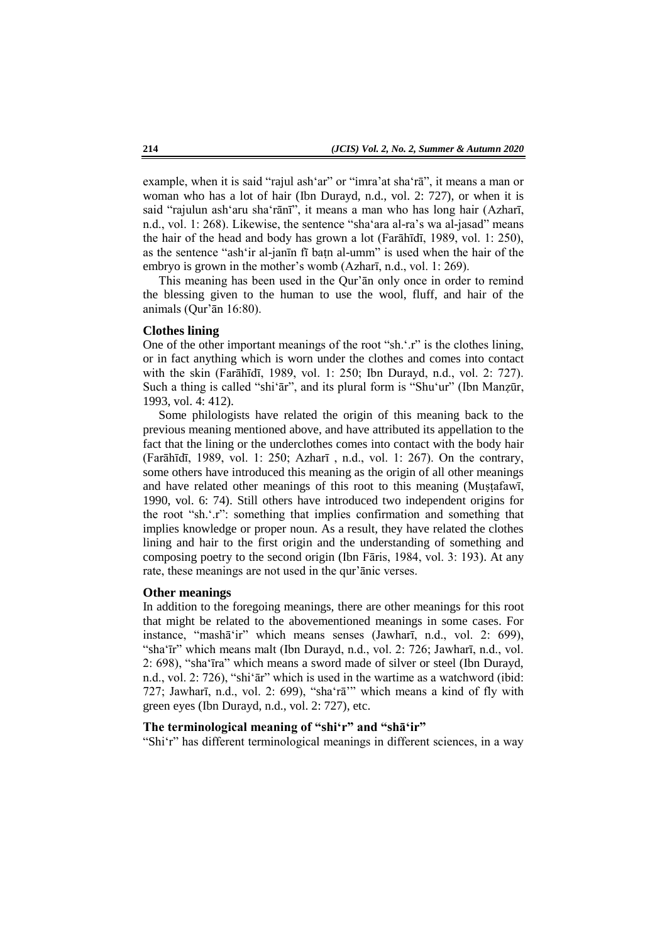example, when it is said "rajul ash'ar" or "imra'at sha'rā", it means a man or woman who has a lot of hair (Ibn Durayd, n.d., vol. 2: 727), or when it is said "rajulun ash'aru sha'rānī", it means a man who has long hair (Azharī, n.d., vol. 1: 268). Likewise, the sentence "sha'ara al-ra's wa al-jasad" means the hair of the head and body has grown a lot (Farāhīdī, 1989, vol. 1: 250), as the sentence "ash'ir al-janīn fī baṭn al-umm" is used when the hair of the embryo is grown in the mother's womb (Azharī, n.d., vol. 1: 269).

This meaning has been used in the Qur'ān only once in order to remind the blessing given to the human to use the wool, fluff, and hair of the animals (Qur'ān 16:80).

#### **Clothes lining**

One of the other important meanings of the root "sh.'.r" is the clothes lining, or in fact anything which is worn under the clothes and comes into contact with the skin (Farāhīdī, 1989, vol. 1: 250; Ibn Durayd, n.d., vol. 2: 727). Such a thing is called "shi'ār", and its plural form is "Shu'ur" (Ibn Manẓūr, 1993, vol. 4: 412).

Some philologists have related the origin of this meaning back to the previous meaning mentioned above, and have attributed its appellation to the fact that the lining or the underclothes comes into contact with the body hair (Farāhīdī, 1989, vol. 1: 250; Azharī , n.d., vol. 1: 267). On the contrary, some others have introduced this meaning as the origin of all other meanings and have related other meanings of this root to this meaning (Muṣṭafawī, 1990, vol. 6: 74). Still others have introduced two independent origins for the root "sh.'.r": something that implies confirmation and something that implies knowledge or proper noun. As a result, they have related the clothes lining and hair to the first origin and the understanding of something and composing poetry to the second origin (Ibn Fāris, 1984, vol. 3: 193). At any rate, these meanings are not used in the qur'ānic verses.

#### **Other meanings**

In addition to the foregoing meanings, there are other meanings for this root that might be related to the abovementioned meanings in some cases. For instance, "mashā'ir" which means senses (Jawharī, n.d., vol. 2: 699), "sha'īr" which means malt (Ibn Durayd, n.d., vol. 2: 726; Jawharī, n.d., vol. 2: 698), "sha'īra" which means a sword made of silver or steel (Ibn Durayd, n.d., vol. 2: 726), "shi'ār" which is used in the wartime as a watchword (ibid: 727; Jawharī, n.d., vol. 2: 699), "sha'rā'" which means a kind of fly with green eyes (Ibn Durayd, n.d., vol. 2: 727), etc.

#### **The terminological meaning of "shi'r" and "shā'ir"**

"Shi'r" has different terminological meanings in different sciences, in a way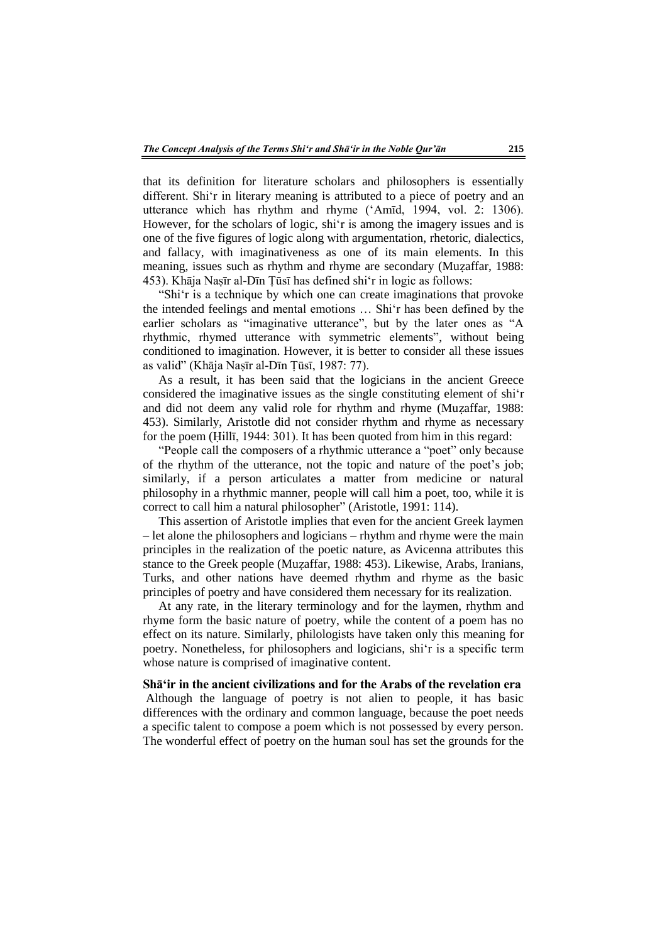that its definition for literature scholars and philosophers is essentially different. Shi'r in literary meaning is attributed to a piece of poetry and an utterance which has rhythm and rhyme ('Amīd, 1994, vol. 2: 1306). However, for the scholars of logic, shi'r is among the imagery issues and is one of the five figures of logic along with argumentation, rhetoric, dialectics, and fallacy, with imaginativeness as one of its main elements. In this meaning, issues such as rhythm and rhyme are secondary (Muzaffar, 1988: 453). Khāja Naṣīr al-Dīn Ṭūsī has defined shi'r in logic as follows:

"Shi'r is a technique by which one can create imaginations that provoke the intended feelings and mental emotions … Shi'r has been defined by the earlier scholars as "imaginative utterance", but by the later ones as "A rhythmic, rhymed utterance with symmetric elements", without being conditioned to imagination. However, it is better to consider all these issues as valid" (Khāja Naṣīr al-Dīn Ṭūsī, 1987: 77).

As a result, it has been said that the logicians in the ancient Greece considered the imaginative issues as the single constituting element of shi'r and did not deem any valid role for rhythm and rhyme (Muẓaffar, 1988: 453). Similarly, Aristotle did not consider rhythm and rhyme as necessary for the poem (Ḥillī, 1944: 301). It has been quoted from him in this regard:

"People call the composers of a rhythmic utterance a "poet" only because of the rhythm of the utterance, not the topic and nature of the poet's job; similarly, if a person articulates a matter from medicine or natural philosophy in a rhythmic manner, people will call him a poet, too, while it is correct to call him a natural philosopher" (Aristotle, 1991: 114).

This assertion of Aristotle implies that even for the ancient Greek laymen – let alone the philosophers and logicians – rhythm and rhyme were the main principles in the realization of the poetic nature, as Avicenna attributes this stance to the Greek people (Muẓaffar, 1988: 453). Likewise, Arabs, Iranians, Turks, and other nations have deemed rhythm and rhyme as the basic principles of poetry and have considered them necessary for its realization.

At any rate, in the literary terminology and for the laymen, rhythm and rhyme form the basic nature of poetry, while the content of a poem has no effect on its nature. Similarly, philologists have taken only this meaning for poetry. Nonetheless, for philosophers and logicians, shi'r is a specific term whose nature is comprised of imaginative content.

### **Shā'ir in the ancient civilizations and for the Arabs of the revelation era**

Although the language of poetry is not alien to people, it has basic differences with the ordinary and common language, because the poet needs a specific talent to compose a poem which is not possessed by every person. The wonderful effect of poetry on the human soul has set the grounds for the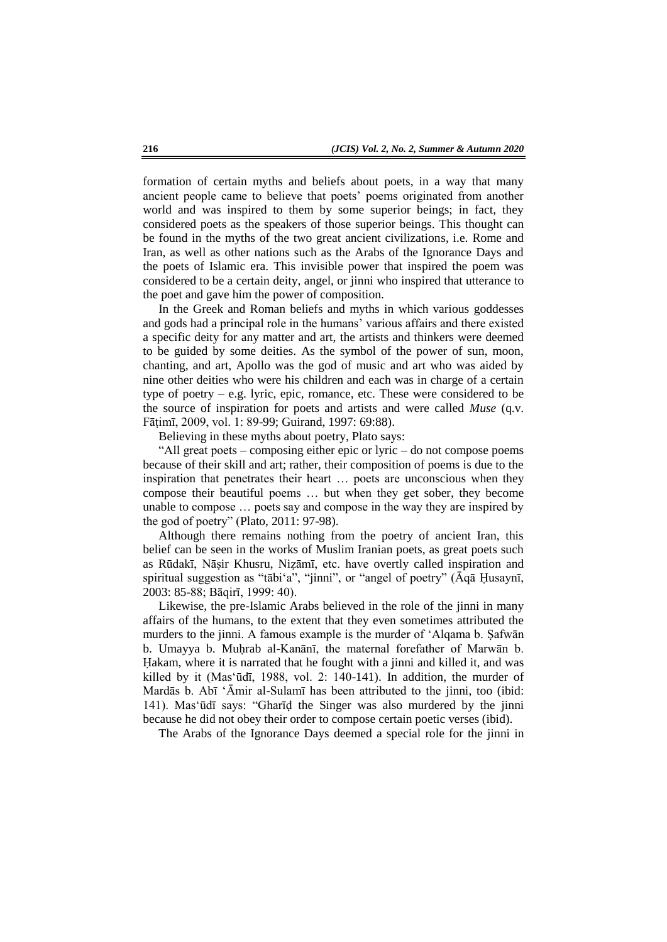formation of certain myths and beliefs about poets, in a way that many ancient people came to believe that poets' poems originated from another world and was inspired to them by some superior beings; in fact, they considered poets as the speakers of those superior beings. This thought can be found in the myths of the two great ancient civilizations, i.e. Rome and Iran, as well as other nations such as the Arabs of the Ignorance Days and the poets of Islamic era. This invisible power that inspired the poem was considered to be a certain deity, angel, or jinni who inspired that utterance to the poet and gave him the power of composition.

In the Greek and Roman beliefs and myths in which various goddesses and gods had a principal role in the humans' various affairs and there existed a specific deity for any matter and art, the artists and thinkers were deemed to be guided by some deities. As the symbol of the power of sun, moon, chanting, and art, Apollo was the god of music and art who was aided by nine other deities who were his children and each was in charge of a certain type of poetry – e.g. lyric, epic, romance, etc. These were considered to be the source of inspiration for poets and artists and were called *Muse* (q.v. Fāṭimī, 2009, vol. 1: 89-99; Guirand, 1997: 69:88).

Believing in these myths about poetry, Plato says:

"All great poets – composing either epic or lyric – do not compose poems because of their skill and art; rather, their composition of poems is due to the inspiration that penetrates their heart … poets are unconscious when they compose their beautiful poems … but when they get sober, they become unable to compose … poets say and compose in the way they are inspired by the god of poetry" (Plato, 2011: 97-98).

Although there remains nothing from the poetry of ancient Iran, this belief can be seen in the works of Muslim Iranian poets, as great poets such as Rūdakī, Nāṣir Khusru, Niẓāmī, etc. have overtly called inspiration and spiritual suggestion as "tābi'a", "jinni", or "angel of poetry" (Āqā Ḥusaynī, 2003: 85-88; Bāqirī, 1999: 40).

Likewise, the pre-Islamic Arabs believed in the role of the jinni in many affairs of the humans, to the extent that they even sometimes attributed the murders to the jinni. A famous example is the murder of 'Alqama b. Ṣafwān b. Umayya b. Muḥrab al-Kanānī, the maternal forefather of Marwān b. Ḥakam, where it is narrated that he fought with a jinni and killed it, and was killed by it (Mas'ūdī, 1988, vol. 2: 140-141). In addition, the murder of Mardās b. Abī 'Āmir al-Sulamī has been attributed to the jinni, too (ibid: 141). Mas'ūdī says: "Gharīḍ the Singer was also murdered by the jinni because he did not obey their order to compose certain poetic verses (ibid).

The Arabs of the Ignorance Days deemed a special role for the jinni in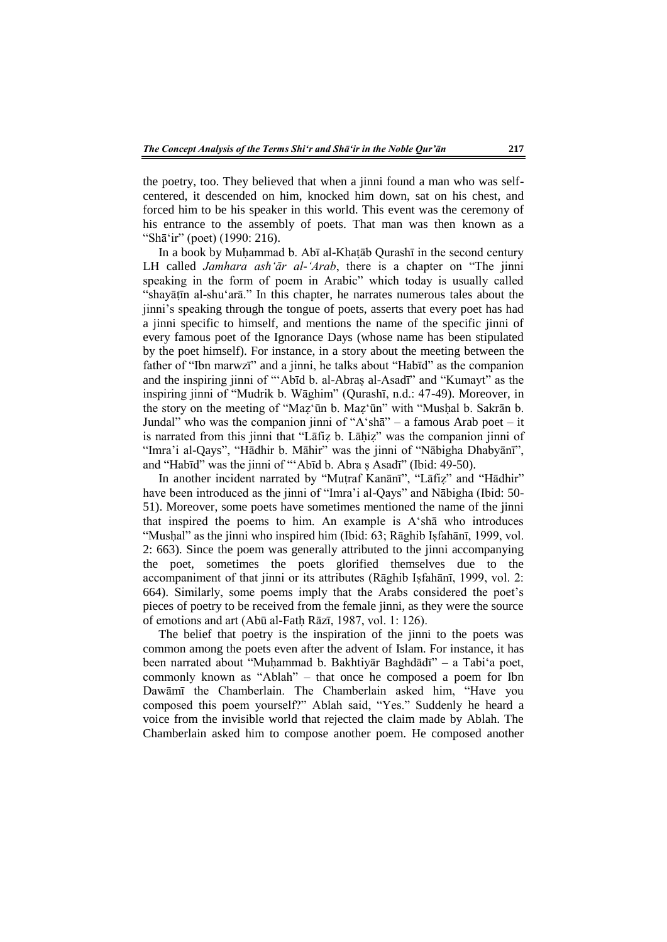the poetry, too. They believed that when a jinni found a man who was selfcentered, it descended on him, knocked him down, sat on his chest, and forced him to be his speaker in this world. This event was the ceremony of his entrance to the assembly of poets. That man was then known as a "Shā'ir" (poet) (1990: 216).

In a book by Muḥammad b. Abī al-Khaṭāb Qurashī in the second century LH called *Jamhara ash'ār al-'Arab*, there is a chapter on "The jinni speaking in the form of poem in Arabic" which today is usually called "shayātīn al-shu'arā." In this chapter, he narrates numerous tales about the jinni's speaking through the tongue of poets, asserts that every poet has had a jinni specific to himself, and mentions the name of the specific jinni of every famous poet of the Ignorance Days (whose name has been stipulated by the poet himself). For instance, in a story about the meeting between the father of "Ibn marwzī" and a jinni, he talks about "Habīd" as the companion and the inspiring jinni of "'Abīd b. al-Abraṣ al-Asadī" and "Kumayt" as the inspiring jinni of "Mudrik b. Wāghim" (Qurashī, n.d.: 47-49). Moreover, in the story on the meeting of "Maẓ'ūn b. Maẓ'ūn" with "Musḥal b. Sakrān b. Jundal" who was the companion jinni of "A'shā" – a famous Arab poet – it is narrated from this jinni that "Lāfiz b. Lāhiz" was the companion jinni of "Imra'i al-Qays", "Hādhir b. Māhir" was the jinni of "Nābigha Dhabyānī", and "Habīd" was the jinni of "'Abīd b. Abra ṣ Asadī" (Ibid: 49-50).

In another incident narrated by "Muṭraf Kanānī", "Lāfiẓ" and "Hādhir" have been introduced as the jinni of "Imra'i al-Qays" and Nābigha (Ibid: 50- 51). Moreover, some poets have sometimes mentioned the name of the jinni that inspired the poems to him. An example is A'shā who introduces "Musḥal" as the jinni who inspired him (Ibid: 63; Rāghib Iṣfahānī, 1999, vol. 2: 663). Since the poem was generally attributed to the jinni accompanying the poet, sometimes the poets glorified themselves due to the accompaniment of that jinni or its attributes (Rāghib Iṣfahānī, 1999, vol. 2: 664). Similarly, some poems imply that the Arabs considered the poet's pieces of poetry to be received from the female jinni, as they were the source of emotions and art (Abū al-Fatḥ Rāzī, 1987, vol. 1: 126).

The belief that poetry is the inspiration of the jinni to the poets was common among the poets even after the advent of Islam. For instance, it has been narrated about "Muḥammad b. Bakhtiyār Baghdādī" – a Tabi'a poet, commonly known as "Ablah" – that once he composed a poem for Ibn Dawāmī the Chamberlain. The Chamberlain asked him, "Have you composed this poem yourself?" Ablah said, "Yes." Suddenly he heard a voice from the invisible world that rejected the claim made by Ablah. The Chamberlain asked him to compose another poem. He composed another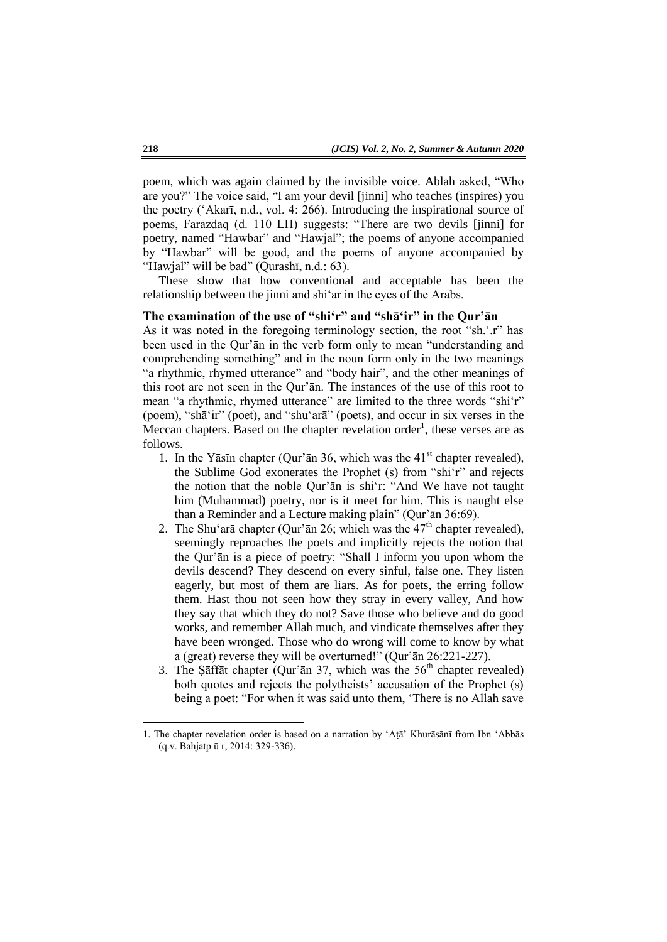poem, which was again claimed by the invisible voice. Ablah asked, "Who are you?" The voice said, "I am your devil [jinni] who teaches (inspires) you the poetry ('Akarī, n.d., vol. 4: 266). Introducing the inspirational source of poems, Farazdaq (d. 110 LH) suggests: "There are two devils [jinni] for poetry, named "Hawbar" and "Hawjal"; the poems of anyone accompanied by "Hawbar" will be good, and the poems of anyone accompanied by "Hawjal" will be bad" (Qurashī, n.d.: 63).

These show that how conventional and acceptable has been the relationship between the jinni and shi'ar in the eyes of the Arabs.

### **The examination of the use of "shi'r" and "shā'ir" in the Qur'ān**

As it was noted in the foregoing terminology section, the root "sh.'.r" has been used in the Qur'ān in the verb form only to mean "understanding and comprehending something" and in the noun form only in the two meanings "a rhythmic, rhymed utterance" and "body hair", and the other meanings of this root are not seen in the Qur'ān. The instances of the use of this root to mean "a rhythmic, rhymed utterance" are limited to the three words "shi'r" (poem), "shā'ir" (poet), and "shu'arā" (poets), and occur in six verses in the Meccan chapters. Based on the chapter revelation order<sup>1</sup>, these verses are as follows.

- 1. In the Yāsīn chapter (Qur'ān 36, which was the  $41<sup>st</sup>$  chapter revealed), the Sublime God exonerates the Prophet (s) from "shi'r" and rejects the notion that the noble Qur'ān is shi'r: "And We have not taught him (Muhammad) poetry, nor is it meet for him. This is naught else than a Reminder and a Lecture making plain" (Qur'ān 36:69).
- 2. The Shu'arā chapter (Qur'ān 26; which was the  $47<sup>th</sup>$  chapter revealed), seemingly reproaches the poets and implicitly rejects the notion that the Qur'ān is a piece of poetry: "Shall I inform you upon whom the devils descend? They descend on every sinful, false one. They listen eagerly, but most of them are liars. As for poets, the erring follow them. Hast thou not seen how they stray in every valley, And how they say that which they do not? Save those who believe and do good works, and remember Allah much, and vindicate themselves after they have been wronged. Those who do wrong will come to know by what a (great) reverse they will be overturned!" (Qur'ān 26:221-227).
- 3. The Saffat chapter (Qur'an 37, which was the  $56<sup>th</sup>$  chapter revealed) both quotes and rejects the polytheists' accusation of the Prophet (s) being a poet: "For when it was said unto them, 'There is no Allah save

**.** 

<sup>1.</sup> The chapter revelation order is based on a narration by 'Aṭā' Khurāsānī from Ibn 'Abbās (q.v. Bahjatp ū r, 2014: 329-336).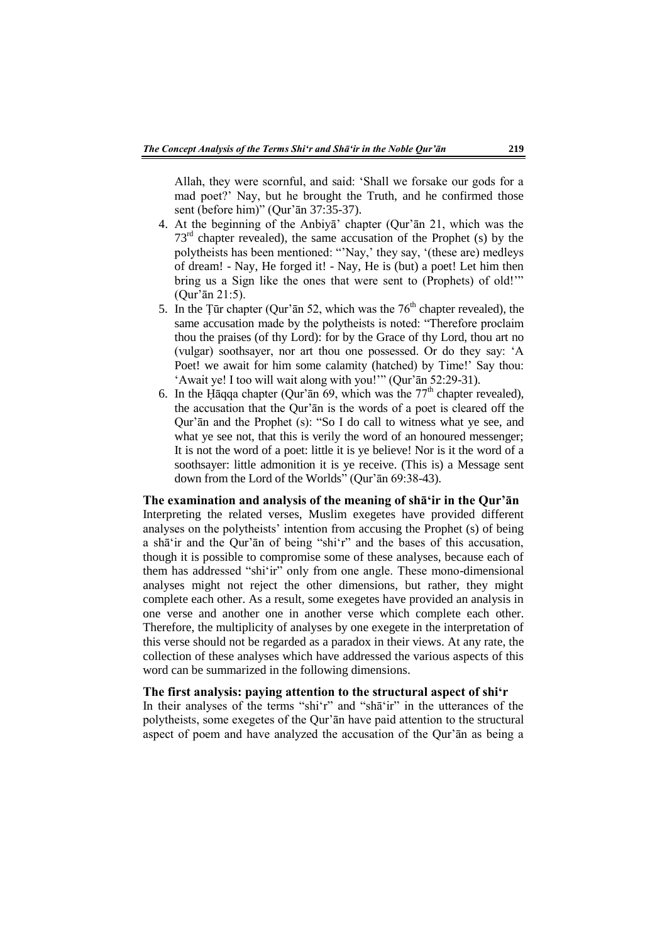Allah, they were scornful, and said: 'Shall we forsake our gods for a mad poet?' Nay, but he brought the Truth, and he confirmed those sent (before him)" (Qur'ān 37:35-37).

- 4. At the beginning of the Anbiyā' chapter (Qur'ān 21, which was the  $73<sup>rd</sup>$  chapter revealed), the same accusation of the Prophet (s) by the polytheists has been mentioned: "'Nay,' they say, '(these are) medleys of dream! - Nay, He forged it! - Nay, He is (but) a poet! Let him then bring us a Sign like the ones that were sent to (Prophets) of old!'" (Qur'ān 21:5).
- 5. In the Țūr chapter (Qur'an 52, which was the  $76<sup>th</sup>$  chapter revealed), the same accusation made by the polytheists is noted: "Therefore proclaim thou the praises (of thy Lord): for by the Grace of thy Lord, thou art no (vulgar) soothsayer, nor art thou one possessed. Or do they say: 'A Poet! we await for him some calamity (hatched) by Time!' Say thou: 'Await ye! I too will wait along with you!'" (Qur'ān 52:29-31).
- 6. In the Ḥāqqa chapter (Qur'ān 69, which was the  $77<sup>th</sup>$  chapter revealed), the accusation that the Qur'ān is the words of a poet is cleared off the Qur'ān and the Prophet (s): "So I do call to witness what ye see, and what ye see not, that this is verily the word of an honoured messenger; It is not the word of a poet: little it is ye believe! Nor is it the word of a soothsayer: little admonition it is ye receive. (This is) a Message sent down from the Lord of the Worlds" (Qur'ān 69:38-43).

**The examination and analysis of the meaning of shā'ir in the Qur'ān**  Interpreting the related verses, Muslim exegetes have provided different analyses on the polytheists' intention from accusing the Prophet (s) of being a shā'ir and the Qur'ān of being "shi'r" and the bases of this accusation, though it is possible to compromise some of these analyses, because each of them has addressed "shi'ir" only from one angle. These mono-dimensional analyses might not reject the other dimensions, but rather, they might complete each other. As a result, some exegetes have provided an analysis in one verse and another one in another verse which complete each other. Therefore, the multiplicity of analyses by one exegete in the interpretation of this verse should not be regarded as a paradox in their views. At any rate, the collection of these analyses which have addressed the various aspects of this word can be summarized in the following dimensions.

# **The first analysis: paying attention to the structural aspect of shi'r**

In their analyses of the terms "shi'r" and "shā'ir" in the utterances of the polytheists, some exegetes of the Qur'ān have paid attention to the structural aspect of poem and have analyzed the accusation of the Qur'ān as being a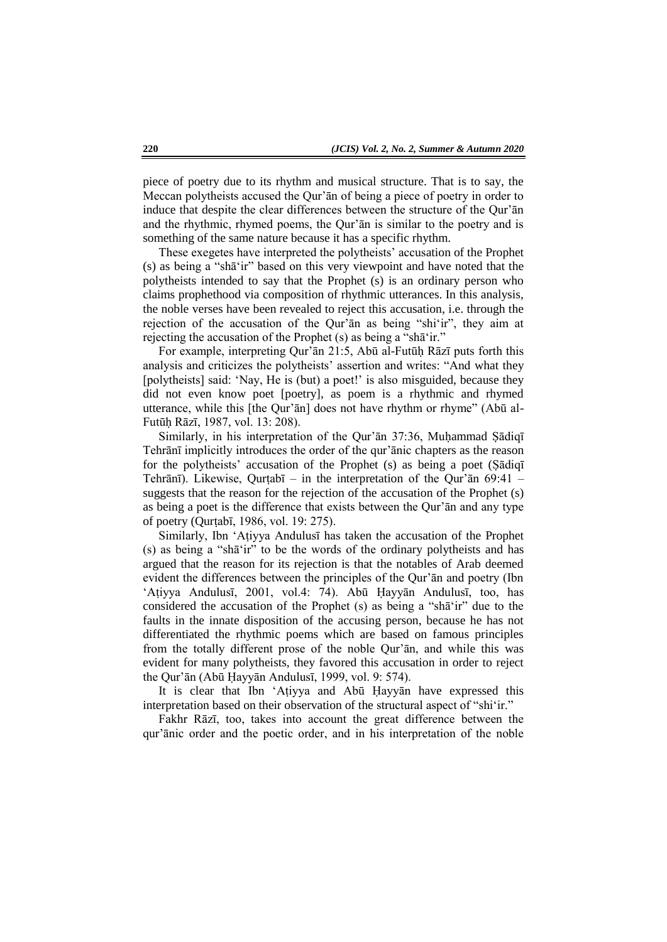piece of poetry due to its rhythm and musical structure. That is to say, the Meccan polytheists accused the Qur'ān of being a piece of poetry in order to induce that despite the clear differences between the structure of the Qur'ān and the rhythmic, rhymed poems, the Qur'ān is similar to the poetry and is something of the same nature because it has a specific rhythm.

These exegetes have interpreted the polytheists' accusation of the Prophet (s) as being a "shā'ir" based on this very viewpoint and have noted that the polytheists intended to say that the Prophet (s) is an ordinary person who claims prophethood via composition of rhythmic utterances. In this analysis, the noble verses have been revealed to reject this accusation, i.e. through the rejection of the accusation of the Qur'ān as being "shi'ir", they aim at rejecting the accusation of the Prophet (s) as being a "shā'ir."

For example, interpreting Qur'ān 21:5, Abū al-Futūḥ Rāzī puts forth this analysis and criticizes the polytheists' assertion and writes: "And what they [polytheists] said: 'Nay, He is (but) a poet!' is also misguided, because they did not even know poet [poetry], as poem is a rhythmic and rhymed utterance, while this [the Qur'ān] does not have rhythm or rhyme" (Abū al-Futūḥ Rāzī, 1987, vol. 13: 208).

Similarly, in his interpretation of the Qur'an 37:36, Muhammad Sadiqī Tehrānī implicitly introduces the order of the qur'ānic chapters as the reason for the polytheists' accusation of the Prophet (s) as being a poet (Ṣādiqī Tehrānī). Likewise, Qurṭabī – in the interpretation of the Qur'ān 69:41 – suggests that the reason for the rejection of the accusation of the Prophet (s) as being a poet is the difference that exists between the Qur'ān and any type of poetry (Qurṭabī, 1986, vol. 19: 275).

Similarly, Ibn 'Aṭiyya Andulusī has taken the accusation of the Prophet (s) as being a "shā'ir" to be the words of the ordinary polytheists and has argued that the reason for its rejection is that the notables of Arab deemed evident the differences between the principles of the Qur'ān and poetry (Ibn 'Aṭiyya Andulusī, 2001, vol.4: 74). Abū Ḥayyān Andulusī, too, has considered the accusation of the Prophet (s) as being a "shā'ir" due to the faults in the innate disposition of the accusing person, because he has not differentiated the rhythmic poems which are based on famous principles from the totally different prose of the noble Qur'ān, and while this was evident for many polytheists, they favored this accusation in order to reject the Qur'ān (Abū Ḥayyān Andulusī, 1999, vol. 9: 574).

It is clear that Ibn 'Aṭiyya and Abū Ḥayyān have expressed this interpretation based on their observation of the structural aspect of "shi'ir."

Fakhr Rāzī, too, takes into account the great difference between the qur'ānic order and the poetic order, and in his interpretation of the noble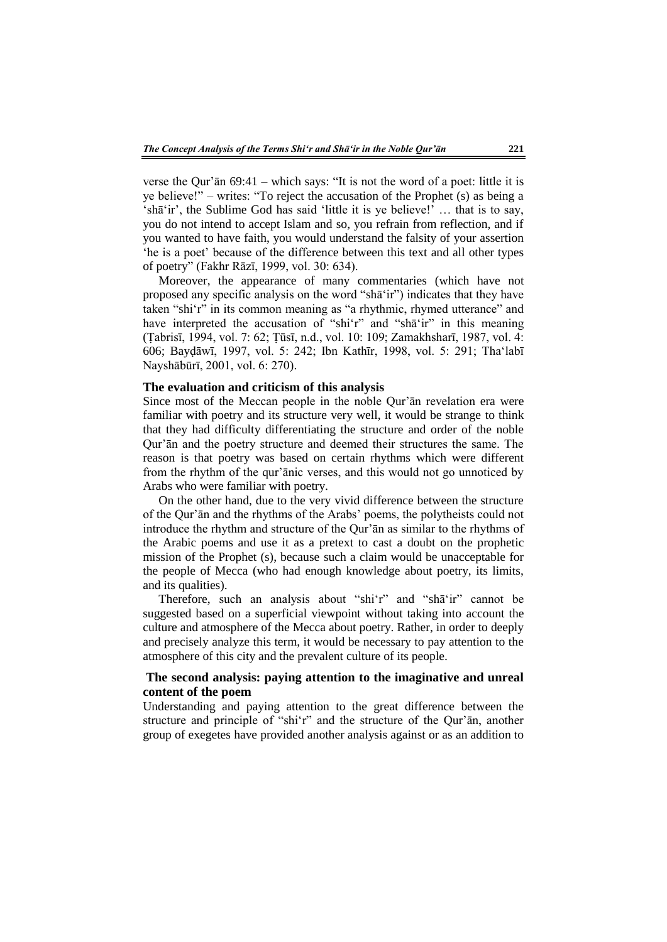verse the Qur'ān 69:41 – which says: "It is not the word of a poet: little it is ye believe!" – writes: "To reject the accusation of the Prophet (s) as being a 'shā'ir', the Sublime God has said 'little it is ye believe!' … that is to say, you do not intend to accept Islam and so, you refrain from reflection, and if you wanted to have faith, you would understand the falsity of your assertion 'he is a poet' because of the difference between this text and all other types of poetry" (Fakhr Rāzī, 1999, vol. 30: 634).

Moreover, the appearance of many commentaries (which have not proposed any specific analysis on the word "shā'ir") indicates that they have taken "shi'r" in its common meaning as "a rhythmic, rhymed utterance" and have interpreted the accusation of "shi'r" and "shat'ir" in this meaning (Ṭabrisī, 1994, vol. 7: 62; Ṭūsī, n.d., vol. 10: 109; Zamakhsharī, 1987, vol. 4: 606; Bayḍāwī, 1997, vol. 5: 242; Ibn Kathīr, 1998, vol. 5: 291; Tha'labī Nayshābūrī, 2001, vol. 6: 270).

### **The evaluation and criticism of this analysis**

Since most of the Meccan people in the noble Qur'ān revelation era were familiar with poetry and its structure very well, it would be strange to think that they had difficulty differentiating the structure and order of the noble Qur'ān and the poetry structure and deemed their structures the same. The reason is that poetry was based on certain rhythms which were different from the rhythm of the qur'ānic verses, and this would not go unnoticed by Arabs who were familiar with poetry.

On the other hand, due to the very vivid difference between the structure of the Qur'ān and the rhythms of the Arabs' poems, the polytheists could not introduce the rhythm and structure of the Qur'ān as similar to the rhythms of the Arabic poems and use it as a pretext to cast a doubt on the prophetic mission of the Prophet (s), because such a claim would be unacceptable for the people of Mecca (who had enough knowledge about poetry, its limits, and its qualities).

Therefore, such an analysis about "shi'r" and "shā'ir" cannot be suggested based on a superficial viewpoint without taking into account the culture and atmosphere of the Mecca about poetry. Rather, in order to deeply and precisely analyze this term, it would be necessary to pay attention to the atmosphere of this city and the prevalent culture of its people.

### **The second analysis: paying attention to the imaginative and unreal content of the poem**

Understanding and paying attention to the great difference between the structure and principle of "shi'r" and the structure of the Qur'ān, another group of exegetes have provided another analysis against or as an addition to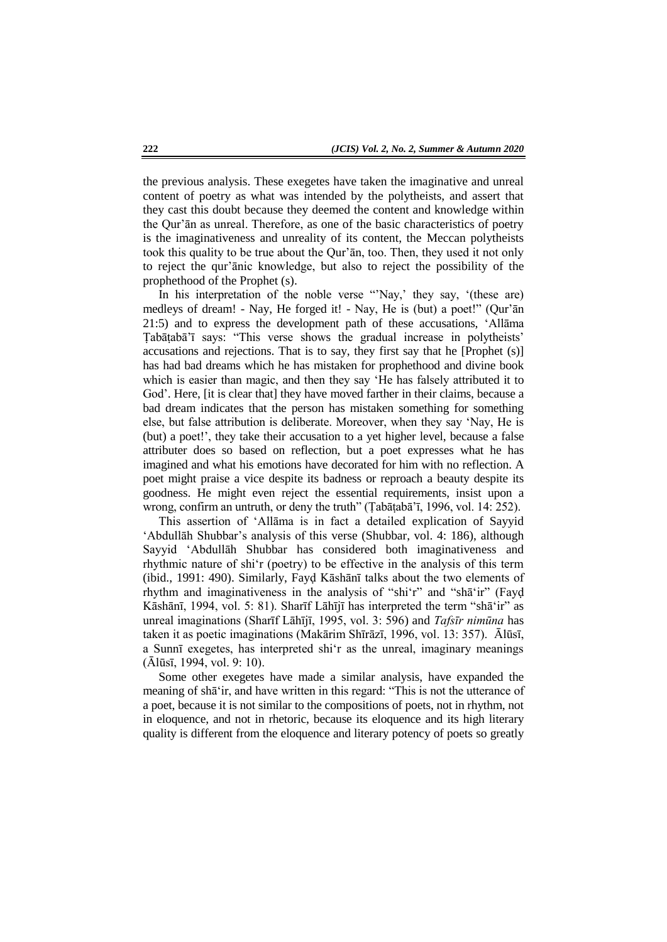the previous analysis. These exegetes have taken the imaginative and unreal content of poetry as what was intended by the polytheists, and assert that they cast this doubt because they deemed the content and knowledge within the Qur'ān as unreal. Therefore, as one of the basic characteristics of poetry is the imaginativeness and unreality of its content, the Meccan polytheists took this quality to be true about the Qur'ān, too. Then, they used it not only to reject the qur'ānic knowledge, but also to reject the possibility of the prophethood of the Prophet (s).

In his interpretation of the noble verse "Nay,' they say, '(these are) medleys of dream! - Nay, He forged it! - Nay, He is (but) a poet!" (Qur'ān 21:5) and to express the development path of these accusations, 'Allāma Ṭabāṭabā'ī says: "This verse shows the gradual increase in polytheists' accusations and rejections. That is to say, they first say that he [Prophet (s)] has had bad dreams which he has mistaken for prophethood and divine book which is easier than magic, and then they say 'He has falsely attributed it to God'. Here, [it is clear that] they have moved farther in their claims, because a bad dream indicates that the person has mistaken something for something else, but false attribution is deliberate. Moreover, when they say 'Nay, He is (but) a poet!', they take their accusation to a yet higher level, because a false attributer does so based on reflection, but a poet expresses what he has imagined and what his emotions have decorated for him with no reflection. A poet might praise a vice despite its badness or reproach a beauty despite its goodness. He might even reject the essential requirements, insist upon a wrong, confirm an untruth, or deny the truth" (Ṭabāṭabā'ī, 1996, vol. 14: 252).

This assertion of 'Allāma is in fact a detailed explication of Sayyid 'Abdullāh Shubbar's analysis of this verse (Shubbar, vol. 4: 186), although Sayyid 'Abdullāh Shubbar has considered both imaginativeness and rhythmic nature of shi'r (poetry) to be effective in the analysis of this term (ibid., 1991: 490). Similarly, Fayḍ Kāshānī talks about the two elements of rhythm and imaginativeness in the analysis of "shi'r" and "shā'ir" (Fayḍ Kāshānī, 1994, vol. 5: 81). Sharīf Lāhījī has interpreted the term "shā'ir" as unreal imaginations (Sharīf Lāhījī, 1995, vol. 3: 596) and *Tafsīr nimūna* has taken it as poetic imaginations (Makārim Shīrāzī, 1996, vol. 13: 357). Ālūsī, a Sunnī exegetes, has interpreted shi'r as the unreal, imaginary meanings (Ālūsī, 1994, vol. 9: 10).

Some other exegetes have made a similar analysis, have expanded the meaning of shā'ir, and have written in this regard: "This is not the utterance of a poet, because it is not similar to the compositions of poets, not in rhythm, not in eloquence, and not in rhetoric, because its eloquence and its high literary quality is different from the eloquence and literary potency of poets so greatly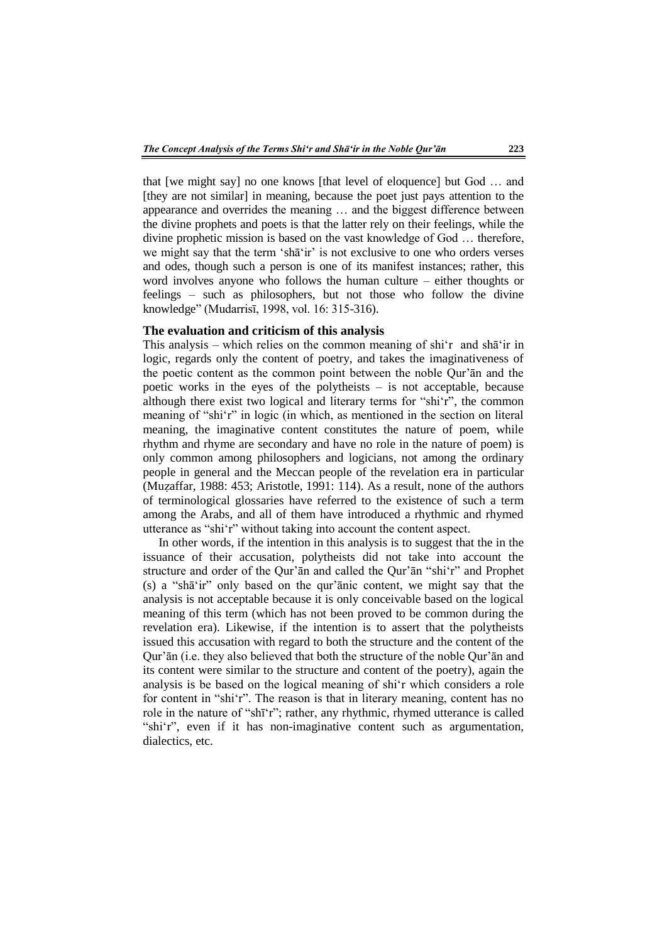that [we might say] no one knows [that level of eloquence] but God … and [they are not similar] in meaning, because the poet just pays attention to the appearance and overrides the meaning … and the biggest difference between the divine prophets and poets is that the latter rely on their feelings, while the divine prophetic mission is based on the vast knowledge of God … therefore, we might say that the term 'shā'ir' is not exclusive to one who orders verses and odes, though such a person is one of its manifest instances; rather, this word involves anyone who follows the human culture – either thoughts or feelings – such as philosophers, but not those who follow the divine knowledge" (Mudarrisī, 1998, vol. 16: 315-316).

### **The evaluation and criticism of this analysis**

This analysis – which relies on the common meaning of shi'r and shā'ir in logic, regards only the content of poetry, and takes the imaginativeness of the poetic content as the common point between the noble Qur'ān and the poetic works in the eyes of the polytheists – is not acceptable, because although there exist two logical and literary terms for "shi'r", the common meaning of "shi'r" in logic (in which, as mentioned in the section on literal meaning, the imaginative content constitutes the nature of poem, while rhythm and rhyme are secondary and have no role in the nature of poem) is only common among philosophers and logicians, not among the ordinary people in general and the Meccan people of the revelation era in particular (Muẓaffar, 1988: 453; Aristotle, 1991: 114). As a result, none of the authors of terminological glossaries have referred to the existence of such a term among the Arabs, and all of them have introduced a rhythmic and rhymed utterance as "shi'r" without taking into account the content aspect.

In other words, if the intention in this analysis is to suggest that the in the issuance of their accusation, polytheists did not take into account the structure and order of the Qur'ān and called the Qur'ān "shi'r" and Prophet (s) a "shā'ir" only based on the qur'ānic content, we might say that the analysis is not acceptable because it is only conceivable based on the logical meaning of this term (which has not been proved to be common during the revelation era). Likewise, if the intention is to assert that the polytheists issued this accusation with regard to both the structure and the content of the Qur'ān (i.e. they also believed that both the structure of the noble Qur'ān and its content were similar to the structure and content of the poetry), again the analysis is be based on the logical meaning of shi'r which considers a role for content in "shi'r". The reason is that in literary meaning, content has no role in the nature of "shī'r"; rather, any rhythmic, rhymed utterance is called "shi'r", even if it has non-imaginative content such as argumentation, dialectics, etc.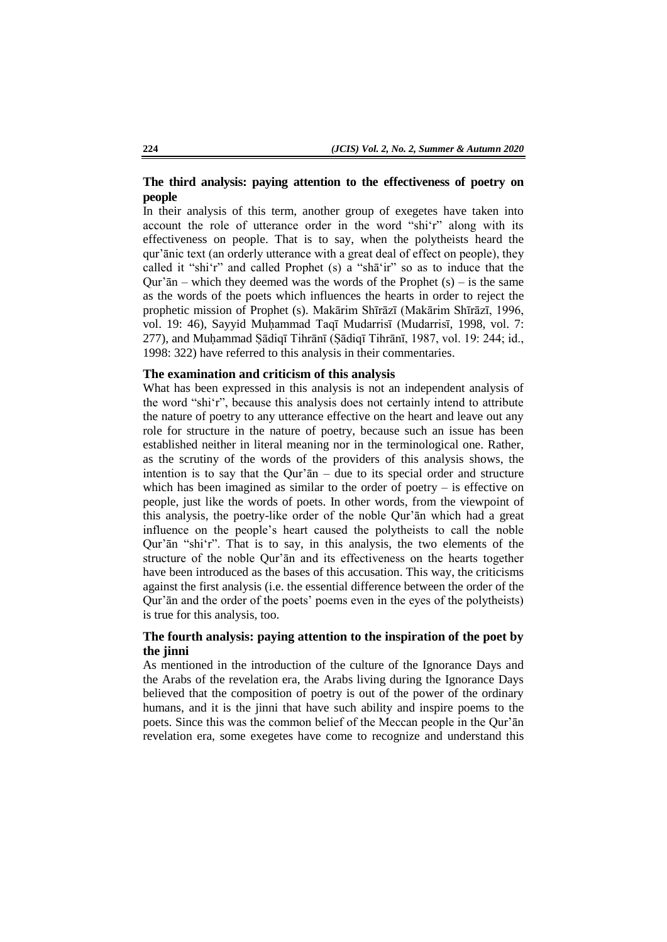# **The third analysis: paying attention to the effectiveness of poetry on people**

In their analysis of this term, another group of exegetes have taken into account the role of utterance order in the word "shi'r" along with its effectiveness on people. That is to say, when the polytheists heard the qur'ānic text (an orderly utterance with a great deal of effect on people), they called it "shi'r" and called Prophet (s) a "shā'ir" so as to induce that the Qur' $\bar{a}$ n – which they deemed was the words of the Prophet (s) – is the same as the words of the poets which influences the hearts in order to reject the prophetic mission of Prophet (s). Makārim Shīrāzī (Makārim Shīrāzī, 1996, vol. 19: 46), Sayyid Muḥammad Taqī Mudarrisī (Mudarrisī, 1998, vol. 7: 277), and Muḥammad Ṣādiqī Tihrānī (Ṣādiqī Tihrānī, 1987, vol. 19: 244; id., 1998: 322) have referred to this analysis in their commentaries.

## **The examination and criticism of this analysis**

What has been expressed in this analysis is not an independent analysis of the word "shi'r", because this analysis does not certainly intend to attribute the nature of poetry to any utterance effective on the heart and leave out any role for structure in the nature of poetry, because such an issue has been established neither in literal meaning nor in the terminological one. Rather, as the scrutiny of the words of the providers of this analysis shows, the intention is to say that the Qur' $\bar{a}n$  – due to its special order and structure which has been imagined as similar to the order of poetry – is effective on people, just like the words of poets. In other words, from the viewpoint of this analysis, the poetry-like order of the noble Qur'ān which had a great influence on the people's heart caused the polytheists to call the noble Qur'ān "shi'r". That is to say, in this analysis, the two elements of the structure of the noble Qur'ān and its effectiveness on the hearts together have been introduced as the bases of this accusation. This way, the criticisms against the first analysis (i.e. the essential difference between the order of the Qur'ān and the order of the poets' poems even in the eyes of the polytheists) is true for this analysis, too.

# **The fourth analysis: paying attention to the inspiration of the poet by the jinni**

As mentioned in the introduction of the culture of the Ignorance Days and the Arabs of the revelation era, the Arabs living during the Ignorance Days believed that the composition of poetry is out of the power of the ordinary humans, and it is the jinni that have such ability and inspire poems to the poets. Since this was the common belief of the Meccan people in the Qur'ān revelation era, some exegetes have come to recognize and understand this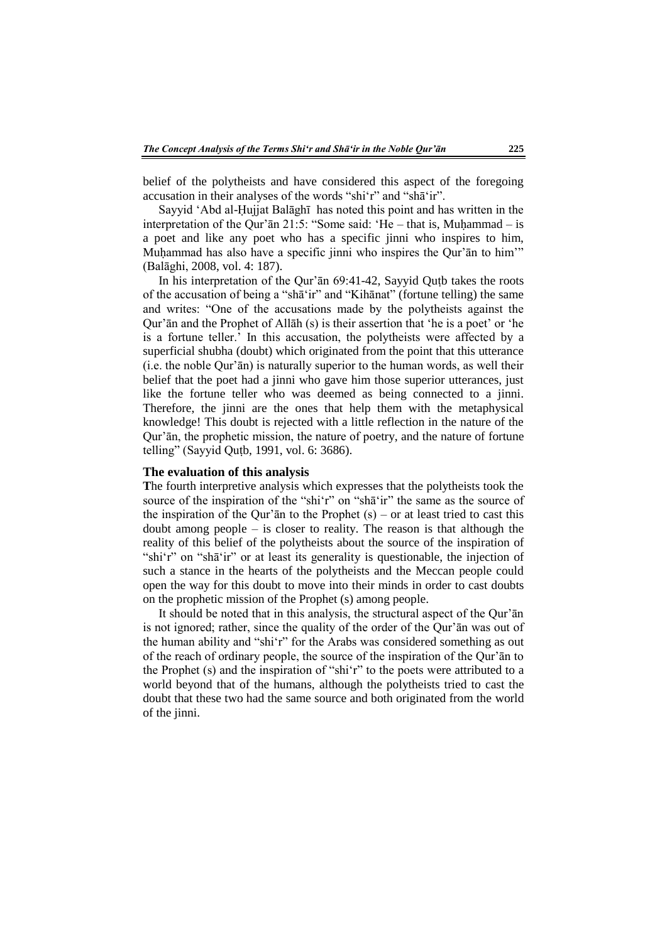belief of the polytheists and have considered this aspect of the foregoing accusation in their analyses of the words "shi'r" and "shā'ir".

Sayyid 'Abd al-Ḥujjat Balāghī has noted this point and has written in the interpretation of the Qur'ān 21:5: "Some said: 'He – that is, Muḥammad – is a poet and like any poet who has a specific jinni who inspires to him, Muhammad has also have a specific jinni who inspires the Qur'an to him'" (Balāghi, 2008, vol. 4: 187).

In his interpretation of the Qur'ān 69:41-42, Sayyid Quṭb takes the roots of the accusation of being a "shā'ir" and "Kihānat" (fortune telling) the same and writes: "One of the accusations made by the polytheists against the Qur'ān and the Prophet of Allāh (s) is their assertion that 'he is a poet' or 'he is a fortune teller.' In this accusation, the polytheists were affected by a superficial shubha (doubt) which originated from the point that this utterance (i.e. the noble Qur'ān) is naturally superior to the human words, as well their belief that the poet had a jinni who gave him those superior utterances, just like the fortune teller who was deemed as being connected to a jinni. Therefore, the jinni are the ones that help them with the metaphysical knowledge! This doubt is rejected with a little reflection in the nature of the Qur'ān, the prophetic mission, the nature of poetry, and the nature of fortune telling" (Sayyid Quṭb, 1991, vol. 6: 3686).

### **The evaluation of this analysis**

**T**he fourth interpretive analysis which expresses that the polytheists took the source of the inspiration of the "shi'r" on "shā'ir" the same as the source of the inspiration of the Qur'an to the Prophet  $(s)$  – or at least tried to cast this doubt among people – is closer to reality. The reason is that although the reality of this belief of the polytheists about the source of the inspiration of "shi'r" on "shā'ir" or at least its generality is questionable, the injection of such a stance in the hearts of the polytheists and the Meccan people could open the way for this doubt to move into their minds in order to cast doubts on the prophetic mission of the Prophet (s) among people.

It should be noted that in this analysis, the structural aspect of the Qur'ān is not ignored; rather, since the quality of the order of the Qur'ān was out of the human ability and "shi'r" for the Arabs was considered something as out of the reach of ordinary people, the source of the inspiration of the Qur'ān to the Prophet (s) and the inspiration of "shi'r" to the poets were attributed to a world beyond that of the humans, although the polytheists tried to cast the doubt that these two had the same source and both originated from the world of the jinni.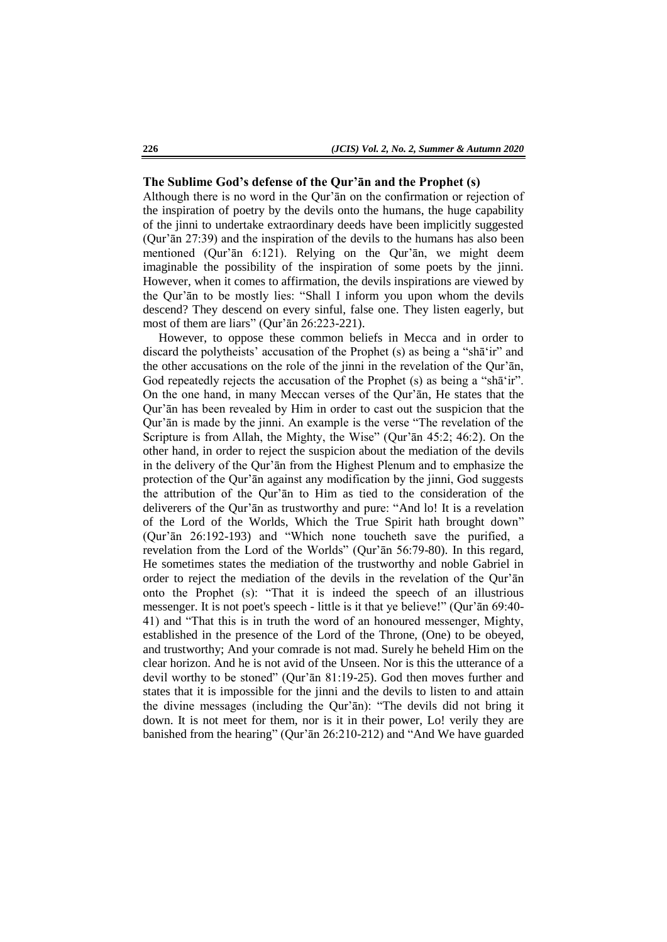#### **The Sublime God's defense of the Qur'ān and the Prophet (s)**

Although there is no word in the Qur'ān on the confirmation or rejection of the inspiration of poetry by the devils onto the humans, the huge capability of the jinni to undertake extraordinary deeds have been implicitly suggested (Qur'ān 27:39) and the inspiration of the devils to the humans has also been mentioned (Qur'ān 6:121). Relying on the Qur'ān, we might deem imaginable the possibility of the inspiration of some poets by the jinni. However, when it comes to affirmation, the devils inspirations are viewed by the Qur'ān to be mostly lies: "Shall I inform you upon whom the devils descend? They descend on every sinful, false one. They listen eagerly, but most of them are liars" (Qur'ān 26:223-221).

However, to oppose these common beliefs in Mecca and in order to discard the polytheists' accusation of the Prophet (s) as being a "shā'ir" and the other accusations on the role of the jinni in the revelation of the Qur'ān, God repeatedly rejects the accusation of the Prophet (s) as being a "shat" in". On the one hand, in many Meccan verses of the Qur'ān, He states that the Qur'ān has been revealed by Him in order to cast out the suspicion that the Qur'ān is made by the jinni. An example is the verse "The revelation of the Scripture is from Allah, the Mighty, the Wise" (Qur'ān 45:2; 46:2). On the other hand, in order to reject the suspicion about the mediation of the devils in the delivery of the Qur'ān from the Highest Plenum and to emphasize the protection of the Qur'ān against any modification by the jinni, God suggests the attribution of the Qur'ān to Him as tied to the consideration of the deliverers of the Qur'ān as trustworthy and pure: "And lo! It is a revelation of the Lord of the Worlds, Which the True Spirit hath brought down" (Qur'ān 26:192-193) and "Which none toucheth save the purified, a revelation from the Lord of the Worlds" (Qur'ān 56:79-80). In this regard, He sometimes states the mediation of the trustworthy and noble Gabriel in order to reject the mediation of the devils in the revelation of the Qur'ān onto the Prophet (s): "That it is indeed the speech of an illustrious messenger. It is not poet's speech - little is it that ye believe!" (Qur'ān 69:40- 41) and "That this is in truth the word of an honoured messenger, Mighty, established in the presence of the Lord of the Throne, (One) to be obeyed, and trustworthy; And your comrade is not mad. Surely he beheld Him on the clear horizon. And he is not avid of the Unseen. Nor is this the utterance of a devil worthy to be stoned" (Qur'ān 81:19-25). God then moves further and states that it is impossible for the jinni and the devils to listen to and attain the divine messages (including the Qur'ān): "The devils did not bring it down. It is not meet for them, nor is it in their power, Lo! verily they are banished from the hearing" (Qur'ān 26:210-212) and "And We have guarded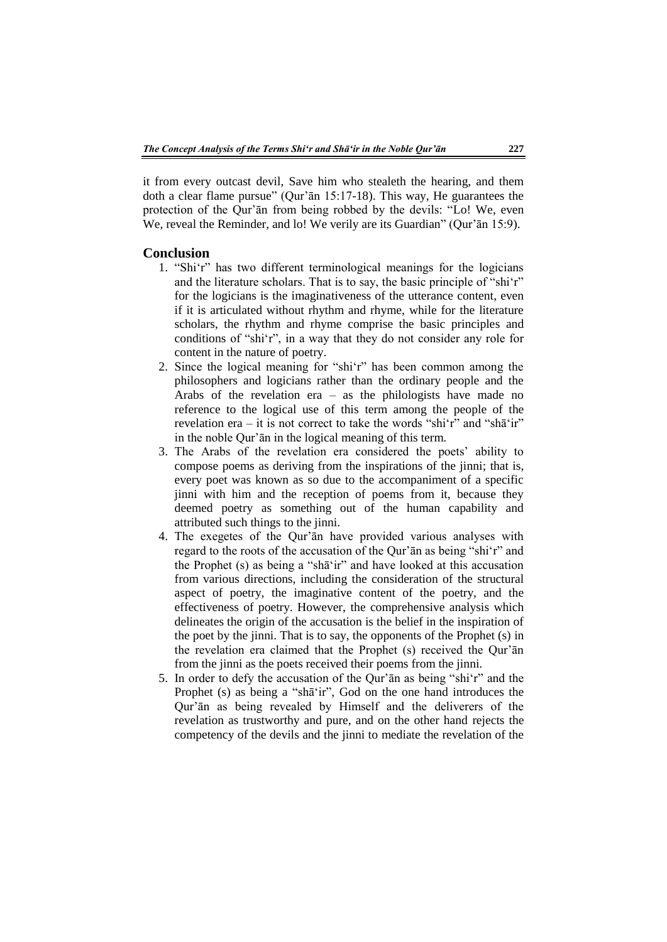it from every outcast devil, Save him who stealeth the hearing, and them doth a clear flame pursue" (Qur'ān 15:17-18). This way, He guarantees the protection of the Qur'ān from being robbed by the devils: "Lo! We, even We, reveal the Reminder, and lo! We verily are its Guardian" (Qur'an 15:9).

### **Conclusion**

- 1. "Shi'r" has two different terminological meanings for the logicians and the literature scholars. That is to say, the basic principle of "shi'r" for the logicians is the imaginativeness of the utterance content, even if it is articulated without rhythm and rhyme, while for the literature scholars, the rhythm and rhyme comprise the basic principles and conditions of "shi'r", in a way that they do not consider any role for content in the nature of poetry.
- 2. Since the logical meaning for "shi'r" has been common among the philosophers and logicians rather than the ordinary people and the Arabs of the revelation era – as the philologists have made no reference to the logical use of this term among the people of the revelation era – it is not correct to take the words "shi'r" and "shā'ir" in the noble Qur'ān in the logical meaning of this term.
- 3. The Arabs of the revelation era considered the poets' ability to compose poems as deriving from the inspirations of the jinni; that is, every poet was known as so due to the accompaniment of a specific jinni with him and the reception of poems from it, because they deemed poetry as something out of the human capability and attributed such things to the jinni.
- 4. The exegetes of the Qur'ān have provided various analyses with regard to the roots of the accusation of the Qur'ān as being "shi'r" and the Prophet (s) as being a "shā'ir" and have looked at this accusation from various directions, including the consideration of the structural aspect of poetry, the imaginative content of the poetry, and the effectiveness of poetry. However, the comprehensive analysis which delineates the origin of the accusation is the belief in the inspiration of the poet by the jinni. That is to say, the opponents of the Prophet (s) in the revelation era claimed that the Prophet (s) received the Qur'ān from the jinni as the poets received their poems from the jinni.
- 5. In order to defy the accusation of the Qur'ān as being "shi'r" and the Prophet (s) as being a "shā'ir", God on the one hand introduces the Qur'ān as being revealed by Himself and the deliverers of the revelation as trustworthy and pure, and on the other hand rejects the competency of the devils and the jinni to mediate the revelation of the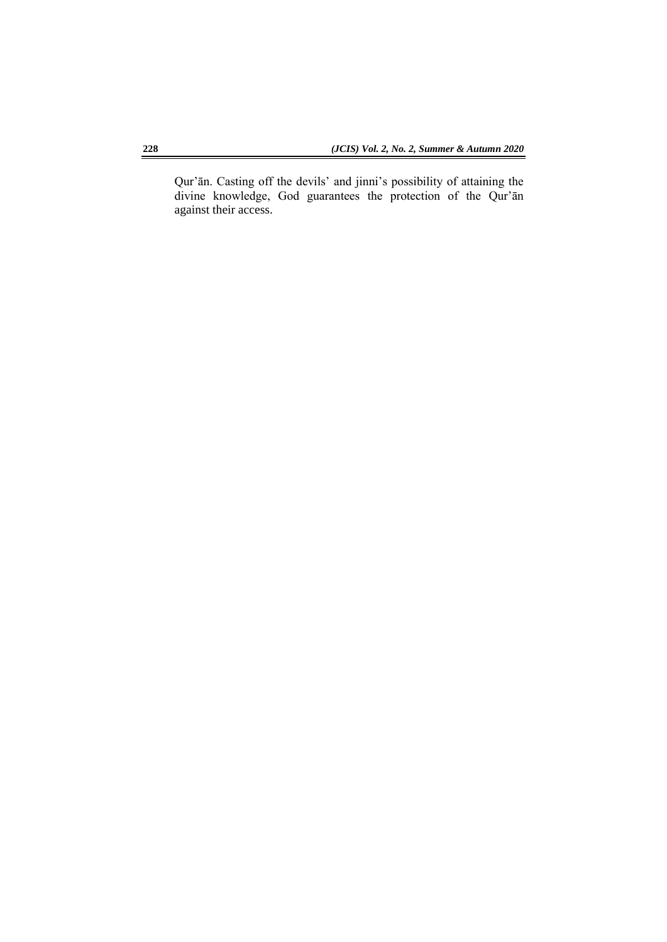Qur'ān. Casting off the devils' and jinni's possibility of attaining the divine knowledge, God guarantees the protection of the Qur'ān against their access.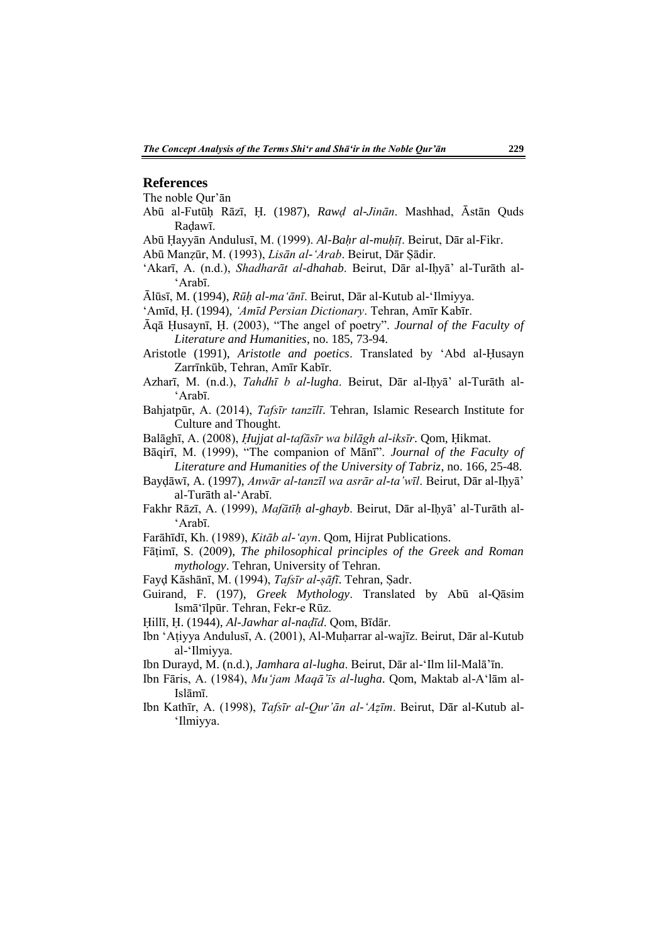#### **References**

The noble Qur'ān

Abū al-Futūḥ Rāzī, Ḥ. (1987), *Rawḍ al-Jinān*. Mashhad, Āstān Quds Raḍawī.

Abū Ḥayyān Andulusī, M. (1999). *Al-Baḥr al-muḥīṭ*. Beirut, Dār al-Fikr.

Abū Manẓūr, M. (1993), *Lisān al-'Arab*. Beirut, Dār Ṣādir.

- 'Akarī, A. (n.d.), *Shadharāt al-dhahab*. Beirut, Dār al-Iḥyā' al-Turāth al- 'Arabī.
- Ālūsī, M. (1994), *Rūḥ al-ma'ānī*. Beirut, Dār al-Kutub al-'Ilmiyya.
- 'Amīd, Ḥ. (1994), *'Amīd Persian Dictionary*. Tehran, Amīr Kabīr.
- Āqā Ḥusaynī, Ḥ. (2003), "The angel of poetry". *Journal of the Faculty of Literature and Humanities*, no. 185, 73-94.
- Aristotle (1991), *Aristotle and poetics*. Translated by 'Abd al-Ḥusayn Zarrīnkūb, Tehran, Amīr Kabīr.
- Azharī, M. (n.d.), *Tahdhī b al-lugha*. Beirut, Dār al-Iḥyā' al-Turāth al- 'Arabī.
- Bahjatpūr, A. (2014), *Tafsīr tanzīlī*. Tehran, Islamic Research Institute for Culture and Thought.
- Balāghī, A. (2008), *Ḥujjat al-tafāsīr wa bilāgh al-iksīr*. Qom, Ḥikmat.
- Bāqirī, M. (1999), "The companion of Mānī". *Journal of the Faculty of Literature and Humanities of the University of Tabriz*, no. 166, 25-48.
- Bayḍāwī, A. (1997), *Anwār al-tanzīl wa asrār al-ta'wīl*. Beirut, Dār al-Iḥyā' al-Turāth al-'Arabī.
- Fakhr Rāzī, A. (1999), *Mafātīḥ al-ghayb*. Beirut, Dār al-Iḥyā' al-Turāth al- 'Arabī.
- Farāhīdī, Kh. (1989), *Kitāb al-'ayn*. Qom, Hijrat Publications.
- Fāṭimī, S. (2009), *The philosophical principles of the Greek and Roman mythology*. Tehran, University of Tehran.
- Fayḍ Kāshānī, M. (1994), *Tafsīr al-ṣāfī*. Tehran, Ṣadr.
- Guirand, F. (197), *Greek Mythology*. Translated by Abū al-Qāsim Ismā'īlpūr. Tehran, Fekr-e Rūz.
- Ḥillī, Ḥ. (1944), *Al-Jawhar al-naḍīd*. Qom, Bīdār.
- Ibn 'Aṭiyya Andulusī, A. (2001), Al-Muḥarrar al-wajīz. Beirut, Dār al-Kutub al-'Ilmiyya.
- Ibn Durayd, M. (n.d.), *Jamhara al-lugha*. Beirut, Dār al-'Ilm lil-Malā'īn.
- Ibn Fāris, A. (1984), *Mu'jam Maqā'īs al-lugha*. Qom, Maktab al-A'lām al-Islāmī.
- Ibn Kathīr, A. (1998), *Tafsīr al-Qur'ān al-'Aẓīm*. Beirut, Dār al-Kutub al- 'Ilmiyya.